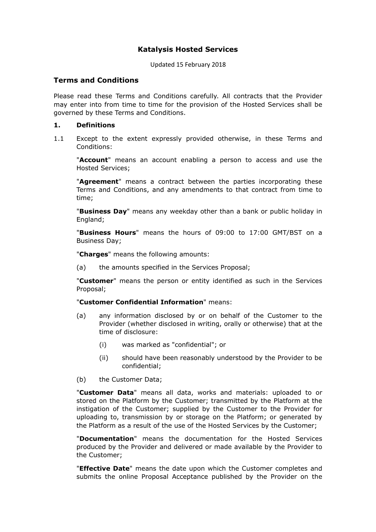# **Katalysis Hosted Services**

Updated 15 February 2018 

## **Terms and Conditions**

Please read these Terms and Conditions carefully. All contracts that the Provider may enter into from time to time for the provision of the Hosted Services shall be governed by these Terms and Conditions.

## **1. Definitions**

1.1 Except to the extent expressly provided otherwise, in these Terms and Conditions:

 "**Account**" means an account enabling a person to access and use the Hosted Services;

 "**Agreement**" means a contract between the parties incorporating these Terms and Conditions, and any amendments to that contract from time to time;

 "**Business Day**" means any weekday other than a bank or public holiday in England;

 "**Business Hours**" means the hours of 09:00 to 17:00 GMT/BST on a Business Day;

"**Charges**" means the following amounts:

(a) the amounts specified in the Services Proposal;

 "**Customer**" means the person or entity identified as such in the Services Proposal;

## "**Customer Confidential Information**" means:

- (a) any information disclosed by or on behalf of the Customer to the Provider (whether disclosed in writing, orally or otherwise) that at the time of disclosure:
	- (i) was marked as "confidential"; or
	- (ii) should have been reasonably understood by the Provider to be confidential;
- (b) the Customer Data;

 "**Customer Data**" means all data, works and materials: uploaded to or stored on the Platform by the Customer; transmitted by the Platform at the instigation of the Customer; supplied by the Customer to the Provider for uploading to, transmission by or storage on the Platform; or generated by the Platform as a result of the use of the Hosted Services by the Customer;

 "**Documentation**" means the documentation for the Hosted Services produced by the Provider and delivered or made available by the Provider to the Customer;

 "**Effective Date**" means the date upon which the Customer completes and submits the online Proposal Acceptance published by the Provider on the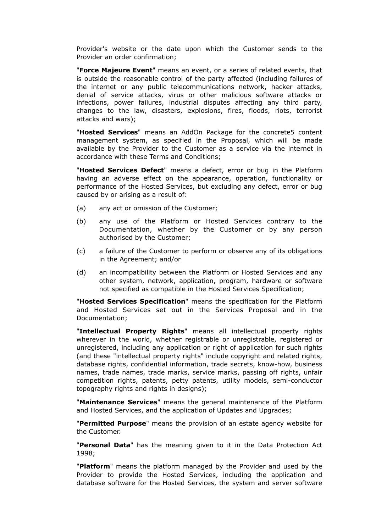Provider's website or the date upon which the Customer sends to the Provider an order confirmation;

 "**Force Majeure Event**" means an event, or a series of related events, that is outside the reasonable control of the party affected (including failures of the internet or any public telecommunications network, hacker attacks, denial of service attacks, virus or other malicious software attacks or infections, power failures, industrial disputes affecting any third party, changes to the law, disasters, explosions, fires, floods, riots, terrorist attacks and wars);

 "**Hosted Services**" means an AddOn Package for the concrete5 content management system, as specified in the Proposal, which will be made available by the Provider to the Customer as a service via the internet in accordance with these Terms and Conditions;

 "**Hosted Services Defect**" means a defect, error or bug in the Platform having an adverse effect on the appearance, operation, functionality or performance of the Hosted Services, but excluding any defect, error or bug caused by or arising as a result of:

- (a) any act or omission of the Customer;
- (b) any use of the Platform or Hosted Services contrary to the Documentation, whether by the Customer or by any person authorised by the Customer;
- (c) a failure of the Customer to perform or observe any of its obligations in the Agreement; and/or
- (d) an incompatibility between the Platform or Hosted Services and any other system, network, application, program, hardware or software not specified as compatible in the Hosted Services Specification;

 "**Hosted Services Specification**" means the specification for the Platform and Hosted Services set out in the Services Proposal and in the Documentation;

 "**Intellectual Property Rights**" means all intellectual property rights wherever in the world, whether registrable or unregistrable, registered or unregistered, including any application or right of application for such rights (and these "intellectual property rights" include copyright and related rights, database rights, confidential information, trade secrets, know-how, business names, trade names, trade marks, service marks, passing off rights, unfair competition rights, patents, petty patents, utility models, semi-conductor topography rights and rights in designs);

 "**Maintenance Services**" means the general maintenance of the Platform and Hosted Services, and the application of Updates and Upgrades;

 "**Permitted Purpose**" means the provision of an estate agency website for the Customer.

 "**Personal Data**" has the meaning given to it in the Data Protection Act 1998;

 "**Platform**" means the platform managed by the Provider and used by the Provider to provide the Hosted Services, including the application and database software for the Hosted Services, the system and server software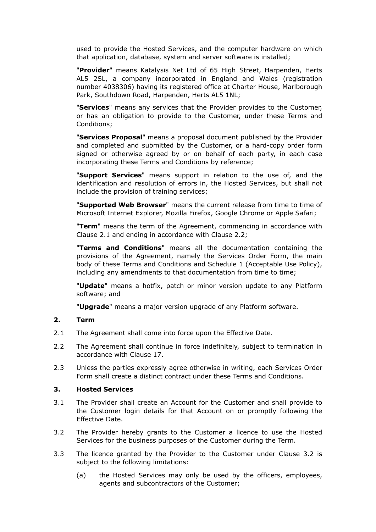used to provide the Hosted Services, and the computer hardware on which that application, database, system and server software is installed;

 "**Provider**" means Katalysis Net Ltd of 65 High Street, Harpenden, Herts AL5 2SL, a company incorporated in England and Wales (registration number 4038306) having its registered office at Charter House, Marlborough Park, Southdown Road, Harpenden, Herts AL5 1NL;

 "**Services**" means any services that the Provider provides to the Customer, or has an obligation to provide to the Customer, under these Terms and Conditions;

 "**Services Proposal**" means a proposal document published by the Provider and completed and submitted by the Customer, or a hard-copy order form signed or otherwise agreed by or on behalf of each party, in each case incorporating these Terms and Conditions by reference;

 "**Support Services**" means support in relation to the use of, and the identification and resolution of errors in, the Hosted Services, but shall not include the provision of training services;

 "**Supported Web Browser**" means the current release from time to time of Microsoft Internet Explorer, Mozilla Firefox, Google Chrome or Apple Safari;

 "**Term**" means the term of the Agreement, commencing in accordance with Clause 2.1 and ending in accordance with Clause 2.2;

 "**Terms and Conditions**" means all the documentation containing the provisions of the Agreement, namely the Services Order Form, the main body of these Terms and Conditions and Schedule 1 (Acceptable Use Policy), including any amendments to that documentation from time to time;

 "**Update**" means a hotfix, patch or minor version update to any Platform software; and

"**Upgrade**" means a major version upgrade of any Platform software.

# **2. Term**

- 2.1 The Agreement shall come into force upon the Effective Date.
- 2.2 The Agreement shall continue in force indefinitely, subject to termination in accordance with Clause 17.
- 2.3 Unless the parties expressly agree otherwise in writing, each Services Order Form shall create a distinct contract under these Terms and Conditions.

#### **3. Hosted Services**

- 3.1 The Provider shall create an Account for the Customer and shall provide to the Customer login details for that Account on or promptly following the Effective Date.
- 3.2 The Provider hereby grants to the Customer a licence to use the Hosted Services for the business purposes of the Customer during the Term.
- 3.3 The licence granted by the Provider to the Customer under Clause 3.2 is subject to the following limitations:
	- (a) the Hosted Services may only be used by the officers, employees, agents and subcontractors of the Customer;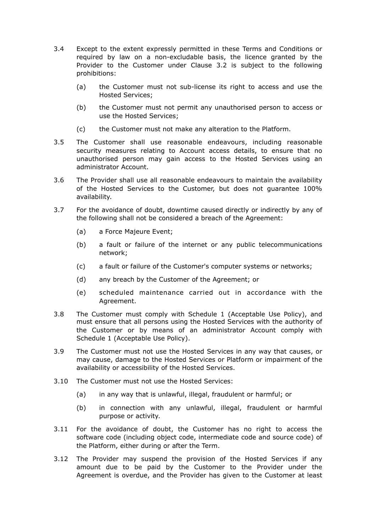- 3.4 Except to the extent expressly permitted in these Terms and Conditions or required by law on a non-excludable basis, the licence granted by the Provider to the Customer under Clause 3.2 is subject to the following prohibitions:
	- (a) the Customer must not sub-license its right to access and use the Hosted Services;
	- (b) the Customer must not permit any unauthorised person to access or use the Hosted Services;
	- (c) the Customer must not make any alteration to the Platform.
- 3.5 The Customer shall use reasonable endeavours, including reasonable security measures relating to Account access details, to ensure that no unauthorised person may gain access to the Hosted Services using an administrator Account.
- 3.6 The Provider shall use all reasonable endeavours to maintain the availability of the Hosted Services to the Customer, but does not guarantee 100% availability.
- 3.7 For the avoidance of doubt, downtime caused directly or indirectly by any of the following shall not be considered a breach of the Agreement:
	- (a) a Force Majeure Event;
	- (b) a fault or failure of the internet or any public telecommunications network;
	- (c) a fault or failure of the Customer's computer systems or networks;
	- (d) any breach by the Customer of the Agreement; or
	- (e) scheduled maintenance carried out in accordance with the Agreement.
- 3.8 The Customer must comply with Schedule 1 (Acceptable Use Policy), and must ensure that all persons using the Hosted Services with the authority of the Customer or by means of an administrator Account comply with Schedule 1 (Acceptable Use Policy).
- 3.9 The Customer must not use the Hosted Services in any way that causes, or may cause, damage to the Hosted Services or Platform or impairment of the availability or accessibility of the Hosted Services.
- 3.10 The Customer must not use the Hosted Services:
	- (a) in any way that is unlawful, illegal, fraudulent or harmful; or
	- (b) in connection with any unlawful, illegal, fraudulent or harmful purpose or activity.
- 3.11 For the avoidance of doubt, the Customer has no right to access the software code (including object code, intermediate code and source code) of the Platform, either during or after the Term.
- 3.12 The Provider may suspend the provision of the Hosted Services if any amount due to be paid by the Customer to the Provider under the Agreement is overdue, and the Provider has given to the Customer at least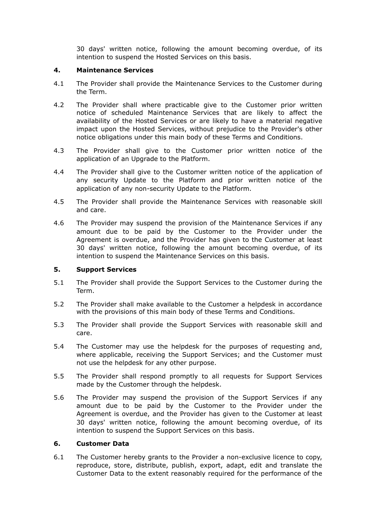30 days' written notice, following the amount becoming overdue, of its intention to suspend the Hosted Services on this basis.

## **4. Maintenance Services**

- 4.1 The Provider shall provide the Maintenance Services to the Customer during the Term.
- 4.2 The Provider shall where practicable give to the Customer prior written notice of scheduled Maintenance Services that are likely to affect the availability of the Hosted Services or are likely to have a material negative impact upon the Hosted Services, without prejudice to the Provider's other notice obligations under this main body of these Terms and Conditions.
- 4.3 The Provider shall give to the Customer prior written notice of the application of an Upgrade to the Platform.
- 4.4 The Provider shall give to the Customer written notice of the application of any security Update to the Platform and prior written notice of the application of any non-security Update to the Platform.
- 4.5 The Provider shall provide the Maintenance Services with reasonable skill and care.
- 4.6 The Provider may suspend the provision of the Maintenance Services if any amount due to be paid by the Customer to the Provider under the Agreement is overdue, and the Provider has given to the Customer at least 30 days' written notice, following the amount becoming overdue, of its intention to suspend the Maintenance Services on this basis.

#### **5. Support Services**

- 5.1 The Provider shall provide the Support Services to the Customer during the Term.
- 5.2 The Provider shall make available to the Customer a helpdesk in accordance with the provisions of this main body of these Terms and Conditions.
- 5.3 The Provider shall provide the Support Services with reasonable skill and care.
- 5.4 The Customer may use the helpdesk for the purposes of requesting and, where applicable, receiving the Support Services; and the Customer must not use the helpdesk for any other purpose.
- 5.5 The Provider shall respond promptly to all requests for Support Services made by the Customer through the helpdesk.
- 5.6 The Provider may suspend the provision of the Support Services if any amount due to be paid by the Customer to the Provider under the Agreement is overdue, and the Provider has given to the Customer at least 30 days' written notice, following the amount becoming overdue, of its intention to suspend the Support Services on this basis.

## **6. Customer Data**

6.1 The Customer hereby grants to the Provider a non-exclusive licence to copy, reproduce, store, distribute, publish, export, adapt, edit and translate the Customer Data to the extent reasonably required for the performance of the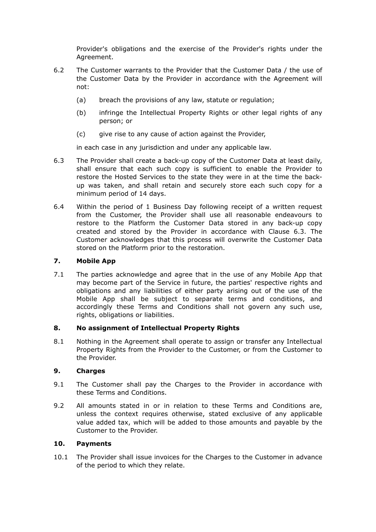Provider's obligations and the exercise of the Provider's rights under the Agreement.

- 6.2 The Customer warrants to the Provider that the Customer Data / the use of the Customer Data by the Provider in accordance with the Agreement will not:
	- (a) breach the provisions of any law, statute or regulation;
	- (b) infringe the Intellectual Property Rights or other legal rights of any person; or
	- (c) give rise to any cause of action against the Provider,

in each case in any jurisdiction and under any applicable law.

- 6.3 The Provider shall create a back-up copy of the Customer Data at least daily, shall ensure that each such copy is sufficient to enable the Provider to restore the Hosted Services to the state they were in at the time the backup was taken, and shall retain and securely store each such copy for a minimum period of 14 days.
- 6.4 Within the period of 1 Business Day following receipt of a written request from the Customer, the Provider shall use all reasonable endeavours to restore to the Platform the Customer Data stored in any back-up copy created and stored by the Provider in accordance with Clause 6.3. The Customer acknowledges that this process will overwrite the Customer Data stored on the Platform prior to the restoration.

# **7. Mobile App**

7.1 The parties acknowledge and agree that in the use of any Mobile App that may become part of the Service in future, the parties' respective rights and obligations and any liabilities of either party arising out of the use of the Mobile App shall be subject to separate terms and conditions, and accordingly these Terms and Conditions shall not govern any such use, rights, obligations or liabilities.

# **8. No assignment of Intellectual Property Rights**

8.1 Nothing in the Agreement shall operate to assign or transfer any Intellectual Property Rights from the Provider to the Customer, or from the Customer to the Provider.

#### **9. Charges**

- 9.1 The Customer shall pay the Charges to the Provider in accordance with these Terms and Conditions.
- 9.2 All amounts stated in or in relation to these Terms and Conditions are, unless the context requires otherwise, stated exclusive of any applicable value added tax, which will be added to those amounts and payable by the Customer to the Provider.

#### **10. Payments**

10.1 The Provider shall issue invoices for the Charges to the Customer in advance of the period to which they relate.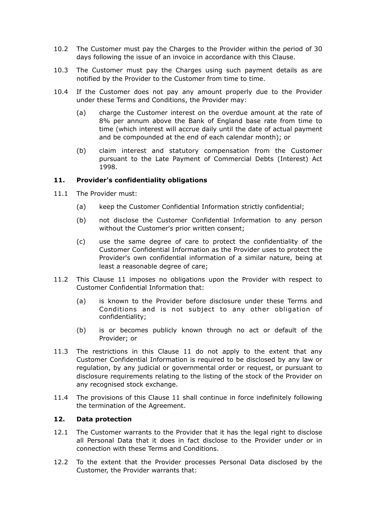- 10.2 The Customer must pay the Charges to the Provider within the period of 30 days following the issue of an invoice in accordance with this Clause.
- 10.3 The Customer must pay the Charges using such payment details as are notified by the Provider to the Customer from time to time.
- 10.4 If the Customer does not pay any amount properly due to the Provider under these Terms and Conditions, the Provider may:
	- (a) charge the Customer interest on the overdue amount at the rate of 8% per annum above the Bank of England base rate from time to time (which interest will accrue daily until the date of actual payment and be compounded at the end of each calendar month); or
	- (b) claim interest and statutory compensation from the Customer pursuant to the Late Payment of Commercial Debts (Interest) Act 1998.

## **11. Provider's confidentiality obligations**

- 11.1 The Provider must:
	- (a) keep the Customer Confidential Information strictly confidential;
	- (b) not disclose the Customer Confidential Information to any person without the Customer's prior written consent;
	- (c) use the same degree of care to protect the confidentiality of the Customer Confidential Information as the Provider uses to protect the Provider's own confidential information of a similar nature, being at least a reasonable degree of care;
- 11.2 This Clause 11 imposes no obligations upon the Provider with respect to Customer Confidential Information that:
	- (a) is known to the Provider before disclosure under these Terms and Conditions and is not subject to any other obligation of confidentiality;
	- (b) is or becomes publicly known through no act or default of the Provider; or
- 11.3 The restrictions in this Clause 11 do not apply to the extent that any Customer Confidential Information is required to be disclosed by any law or regulation, by any judicial or governmental order or request, or pursuant to disclosure requirements relating to the listing of the stock of the Provider on any recognised stock exchange.
- 11.4 The provisions of this Clause 11 shall continue in force indefinitely following the termination of the Agreement.

## **12. Data protection**

- 12.1 The Customer warrants to the Provider that it has the legal right to disclose all Personal Data that it does in fact disclose to the Provider under or in connection with these Terms and Conditions.
- 12.2 To the extent that the Provider processes Personal Data disclosed by the Customer, the Provider warrants that: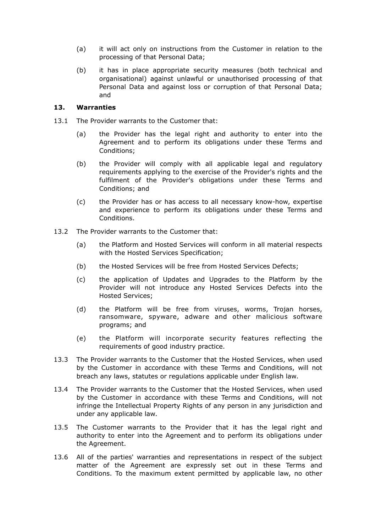- (a) it will act only on instructions from the Customer in relation to the processing of that Personal Data;
- (b) it has in place appropriate security measures (both technical and organisational) against unlawful or unauthorised processing of that Personal Data and against loss or corruption of that Personal Data; and

# **13. Warranties**

- 13.1 The Provider warrants to the Customer that:
	- (a) the Provider has the legal right and authority to enter into the Agreement and to perform its obligations under these Terms and Conditions;
	- (b) the Provider will comply with all applicable legal and regulatory requirements applying to the exercise of the Provider's rights and the fulfilment of the Provider's obligations under these Terms and Conditions; and
	- (c) the Provider has or has access to all necessary know-how, expertise and experience to perform its obligations under these Terms and Conditions.
- 13.2 The Provider warrants to the Customer that:
	- (a) the Platform and Hosted Services will conform in all material respects with the Hosted Services Specification;
	- (b) the Hosted Services will be free from Hosted Services Defects;
	- (c) the application of Updates and Upgrades to the Platform by the Provider will not introduce any Hosted Services Defects into the Hosted Services;
	- (d) the Platform will be free from viruses, worms, Trojan horses, ransomware, spyware, adware and other malicious software programs; and
	- (e) the Platform will incorporate security features reflecting the requirements of good industry practice.
- 13.3 The Provider warrants to the Customer that the Hosted Services, when used by the Customer in accordance with these Terms and Conditions, will not breach any laws, statutes or regulations applicable under English law.
- 13.4 The Provider warrants to the Customer that the Hosted Services, when used by the Customer in accordance with these Terms and Conditions, will not infringe the Intellectual Property Rights of any person in any jurisdiction and under any applicable law.
- 13.5 The Customer warrants to the Provider that it has the legal right and authority to enter into the Agreement and to perform its obligations under the Agreement.
- 13.6 All of the parties' warranties and representations in respect of the subject matter of the Agreement are expressly set out in these Terms and Conditions. To the maximum extent permitted by applicable law, no other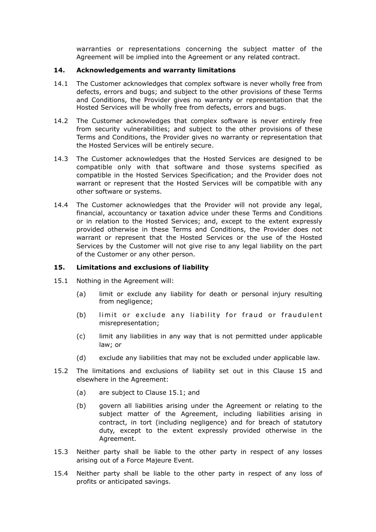warranties or representations concerning the subject matter of the Agreement will be implied into the Agreement or any related contract.

### **14. Acknowledgements and warranty limitations**

- 14.1 The Customer acknowledges that complex software is never wholly free from defects, errors and bugs; and subject to the other provisions of these Terms and Conditions, the Provider gives no warranty or representation that the Hosted Services will be wholly free from defects, errors and bugs.
- 14.2 The Customer acknowledges that complex software is never entirely free from security vulnerabilities; and subject to the other provisions of these Terms and Conditions, the Provider gives no warranty or representation that the Hosted Services will be entirely secure.
- 14.3 The Customer acknowledges that the Hosted Services are designed to be compatible only with that software and those systems specified as compatible in the Hosted Services Specification; and the Provider does not warrant or represent that the Hosted Services will be compatible with any other software or systems.
- 14.4 The Customer acknowledges that the Provider will not provide any legal, financial, accountancy or taxation advice under these Terms and Conditions or in relation to the Hosted Services; and, except to the extent expressly provided otherwise in these Terms and Conditions, the Provider does not warrant or represent that the Hosted Services or the use of the Hosted Services by the Customer will not give rise to any legal liability on the part of the Customer or any other person.

## **15. Limitations and exclusions of liability**

- 15.1 Nothing in the Agreement will:
	- (a) limit or exclude any liability for death or personal injury resulting from negligence;
	- (b) limit or exclude any liability for fraud or fraudulent misrepresentation;
	- (c) limit any liabilities in any way that is not permitted under applicable law; or
	- (d) exclude any liabilities that may not be excluded under applicable law.
- 15.2 The limitations and exclusions of liability set out in this Clause 15 and elsewhere in the Agreement:
	- (a) are subject to Clause 15.1; and
	- (b) govern all liabilities arising under the Agreement or relating to the subject matter of the Agreement, including liabilities arising in contract, in tort (including negligence) and for breach of statutory duty, except to the extent expressly provided otherwise in the Agreement.
- 15.3 Neither party shall be liable to the other party in respect of any losses arising out of a Force Majeure Event.
- 15.4 Neither party shall be liable to the other party in respect of any loss of profits or anticipated savings.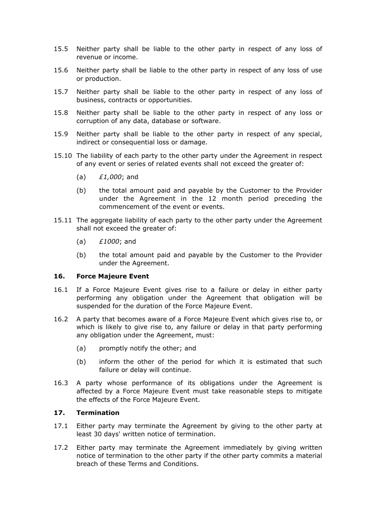- 15.5 Neither party shall be liable to the other party in respect of any loss of revenue or income.
- 15.6 Neither party shall be liable to the other party in respect of any loss of use or production.
- 15.7 Neither party shall be liable to the other party in respect of any loss of business, contracts or opportunities.
- 15.8 Neither party shall be liable to the other party in respect of any loss or corruption of any data, database or software.
- 15.9 Neither party shall be liable to the other party in respect of any special, indirect or consequential loss or damage.
- 15.10 The liability of each party to the other party under the Agreement in respect of any event or series of related events shall not exceed the greater of:
	- (a) *£1,000*; and
	- (b) the total amount paid and payable by the Customer to the Provider under the Agreement in the 12 month period preceding the commencement of the event or events.
- 15.11 The aggregate liability of each party to the other party under the Agreement shall not exceed the greater of:
	- (a) *£1000*; and
	- (b) the total amount paid and payable by the Customer to the Provider under the Agreement.

#### **16. Force Majeure Event**

- 16.1 If a Force Majeure Event gives rise to a failure or delay in either party performing any obligation under the Agreement that obligation will be suspended for the duration of the Force Majeure Event.
- 16.2 A party that becomes aware of a Force Majeure Event which gives rise to, or which is likely to give rise to, any failure or delay in that party performing any obligation under the Agreement, must:
	- (a) promptly notify the other; and
	- (b) inform the other of the period for which it is estimated that such failure or delay will continue.
- 16.3 A party whose performance of its obligations under the Agreement is affected by a Force Majeure Event must take reasonable steps to mitigate the effects of the Force Majeure Event.

# **17. Termination**

- 17.1 Either party may terminate the Agreement by giving to the other party at least 30 days' written notice of termination.
- 17.2 Either party may terminate the Agreement immediately by giving written notice of termination to the other party if the other party commits a material breach of these Terms and Conditions.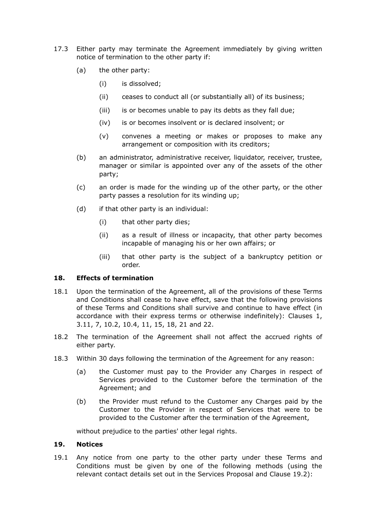- 17.3 Either party may terminate the Agreement immediately by giving written notice of termination to the other party if:
	- (a) the other party:
		- (i) is dissolved;
		- (ii) ceases to conduct all (or substantially all) of its business;
		- (iii) is or becomes unable to pay its debts as they fall due;
		- (iv) is or becomes insolvent or is declared insolvent; or
		- (v) convenes a meeting or makes or proposes to make any arrangement or composition with its creditors;
	- (b) an administrator, administrative receiver, liquidator, receiver, trustee, manager or similar is appointed over any of the assets of the other party;
	- (c) an order is made for the winding up of the other party, or the other party passes a resolution for its winding up;
	- (d) if that other party is an individual:
		- (i) that other party dies;
		- (ii) as a result of illness or incapacity, that other party becomes incapable of managing his or her own affairs; or
		- (iii) that other party is the subject of a bankruptcy petition or order.

# **18. Effects of termination**

- 18.1 Upon the termination of the Agreement, all of the provisions of these Terms and Conditions shall cease to have effect, save that the following provisions of these Terms and Conditions shall survive and continue to have effect (in accordance with their express terms or otherwise indefinitely): Clauses 1, 3.11, 7, 10.2, 10.4, 11, 15, 18, 21 and 22.
- 18.2 The termination of the Agreement shall not affect the accrued rights of either party.
- 18.3 Within 30 days following the termination of the Agreement for any reason:
	- (a) the Customer must pay to the Provider any Charges in respect of Services provided to the Customer before the termination of the Agreement; and
	- (b) the Provider must refund to the Customer any Charges paid by the Customer to the Provider in respect of Services that were to be provided to the Customer after the termination of the Agreement,

without prejudice to the parties' other legal rights.

## **19. Notices**

19.1 Any notice from one party to the other party under these Terms and Conditions must be given by one of the following methods (using the relevant contact details set out in the Services Proposal and Clause 19.2):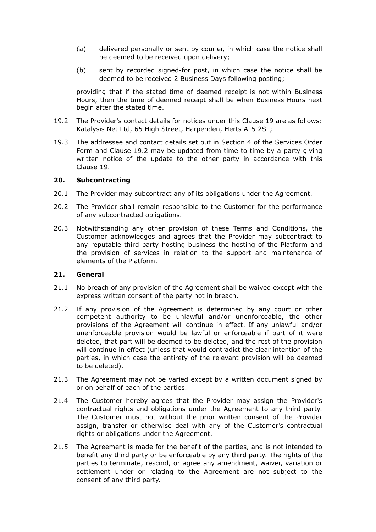- (a) delivered personally or sent by courier, in which case the notice shall be deemed to be received upon delivery;
- (b) sent by recorded signed-for post, in which case the notice shall be deemed to be received 2 Business Days following posting;

 providing that if the stated time of deemed receipt is not within Business Hours, then the time of deemed receipt shall be when Business Hours next begin after the stated time.

- 19.2 The Provider's contact details for notices under this Clause 19 are as follows: Katalysis Net Ltd, 65 High Street, Harpenden, Herts AL5 2SL;
- 19.3 The addressee and contact details set out in Section 4 of the Services Order Form and Clause 19.2 may be updated from time to time by a party giving written notice of the update to the other party in accordance with this Clause 19.

#### **20. Subcontracting**

- 20.1 The Provider may subcontract any of its obligations under the Agreement.
- 20.2 The Provider shall remain responsible to the Customer for the performance of any subcontracted obligations.
- 20.3 Notwithstanding any other provision of these Terms and Conditions, the Customer acknowledges and agrees that the Provider may subcontract to any reputable third party hosting business the hosting of the Platform and the provision of services in relation to the support and maintenance of elements of the Platform.

#### **21. General**

- 21.1 No breach of any provision of the Agreement shall be waived except with the express written consent of the party not in breach.
- 21.2 If any provision of the Agreement is determined by any court or other competent authority to be unlawful and/or unenforceable, the other provisions of the Agreement will continue in effect. If any unlawful and/or unenforceable provision would be lawful or enforceable if part of it were deleted, that part will be deemed to be deleted, and the rest of the provision will continue in effect (unless that would contradict the clear intention of the parties, in which case the entirety of the relevant provision will be deemed to be deleted).
- 21.3 The Agreement may not be varied except by a written document signed by or on behalf of each of the parties.
- 21.4 The Customer hereby agrees that the Provider may assign the Provider's contractual rights and obligations under the Agreement to any third party. The Customer must not without the prior written consent of the Provider assign, transfer or otherwise deal with any of the Customer's contractual rights or obligations under the Agreement.
- 21.5 The Agreement is made for the benefit of the parties, and is not intended to benefit any third party or be enforceable by any third party. The rights of the parties to terminate, rescind, or agree any amendment, waiver, variation or settlement under or relating to the Agreement are not subject to the consent of any third party.